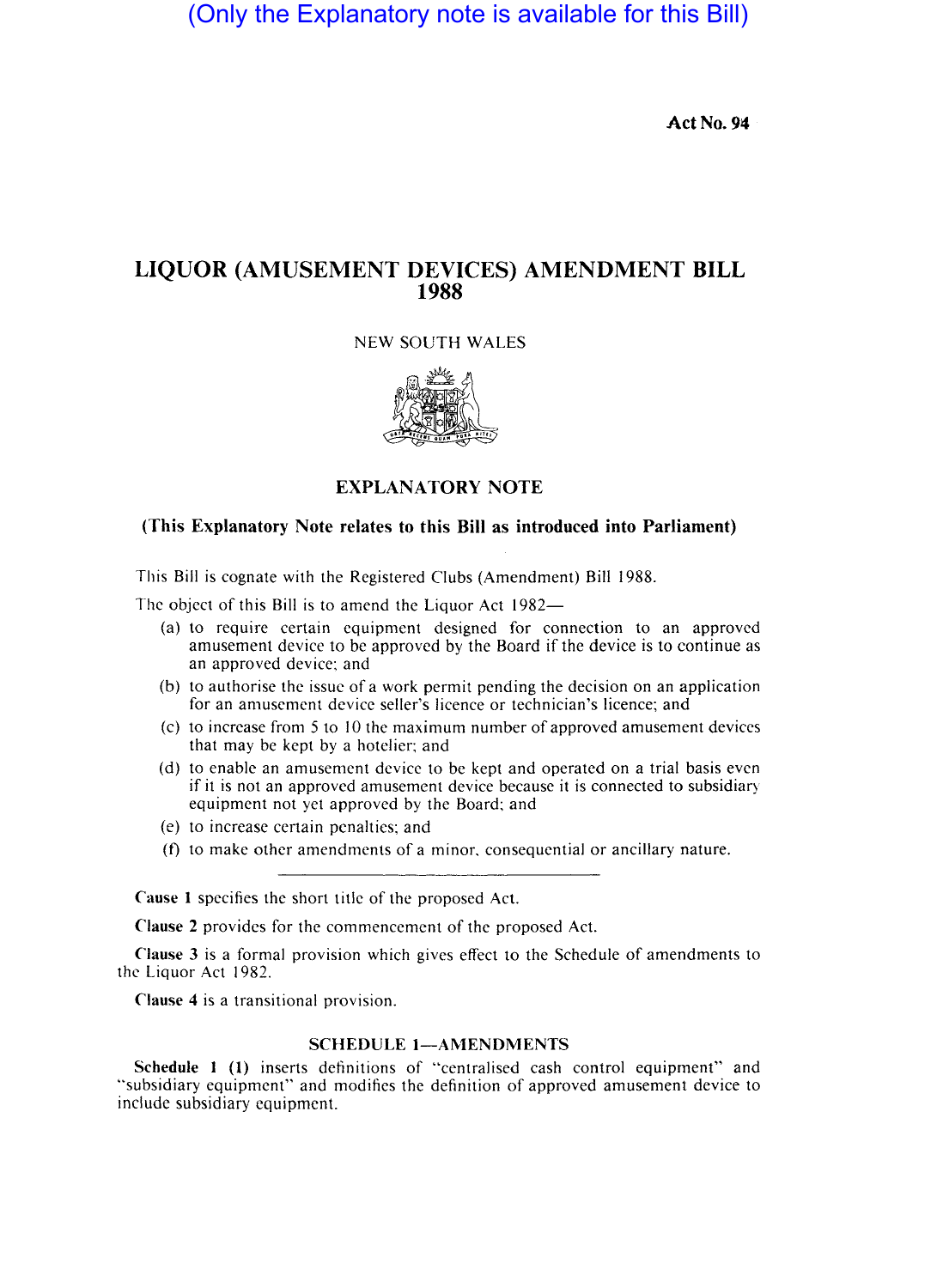(Only the Explanatory note is available for this Bill)

Act No. 94

# **LIQUOR** (AMUSEMENT DEVICES) AMENDMENT **BILL**  <sup>i</sup>**1988**

NEW SOUTH WALES



# EXPLANATORY NOTE

# (This Explanatory Note relates to this Bill as introduced into Parliament)

This Bill is cognate with the Registered Clubs (Amendment) Bill 1988.

The object of this Bill is to amend the Liquor Act  $1982-$ 

- (a) to require certain equipment designed for connection to an approved amusement device to be approved by the Board if the device is to continue as an approved device; and
- $(b)$  to authorise the issue of a work permit pending the decision on an application for an amusement device seller's licence or technician's licence; and
- $(c)$  to increase from 5 to 10 the maximum number of approved amusement devices that may be kept by a hotelier; and
- (d) to enable an amusement device to be kept and operated on a trial basis even if it is not an approved amusement device because it is connected to subsidiary equipment not yet approved by the Board; and
- (e) to increase certain penalties; and
- (t) to make othcr amendments of a minor. consequential or ancillary nature.

Cause 1 specifies the short title of the proposed Act.

Clause 2 provides for the commencement of the proposed Act.

Clause 3 is a formal provision which gives effect to the Schedule of amendments to the Liquor Act 1982.

Clause 4 is a transitional provision. <sup>i</sup>

## SCHEDULE 1-AMENDMENTS

Schedule  $1$  (1) inserts definitions of "centralised cash control equipment" and "subsidiary equipment" and modifies the definition of approved amusement device to include subsidiary equipment.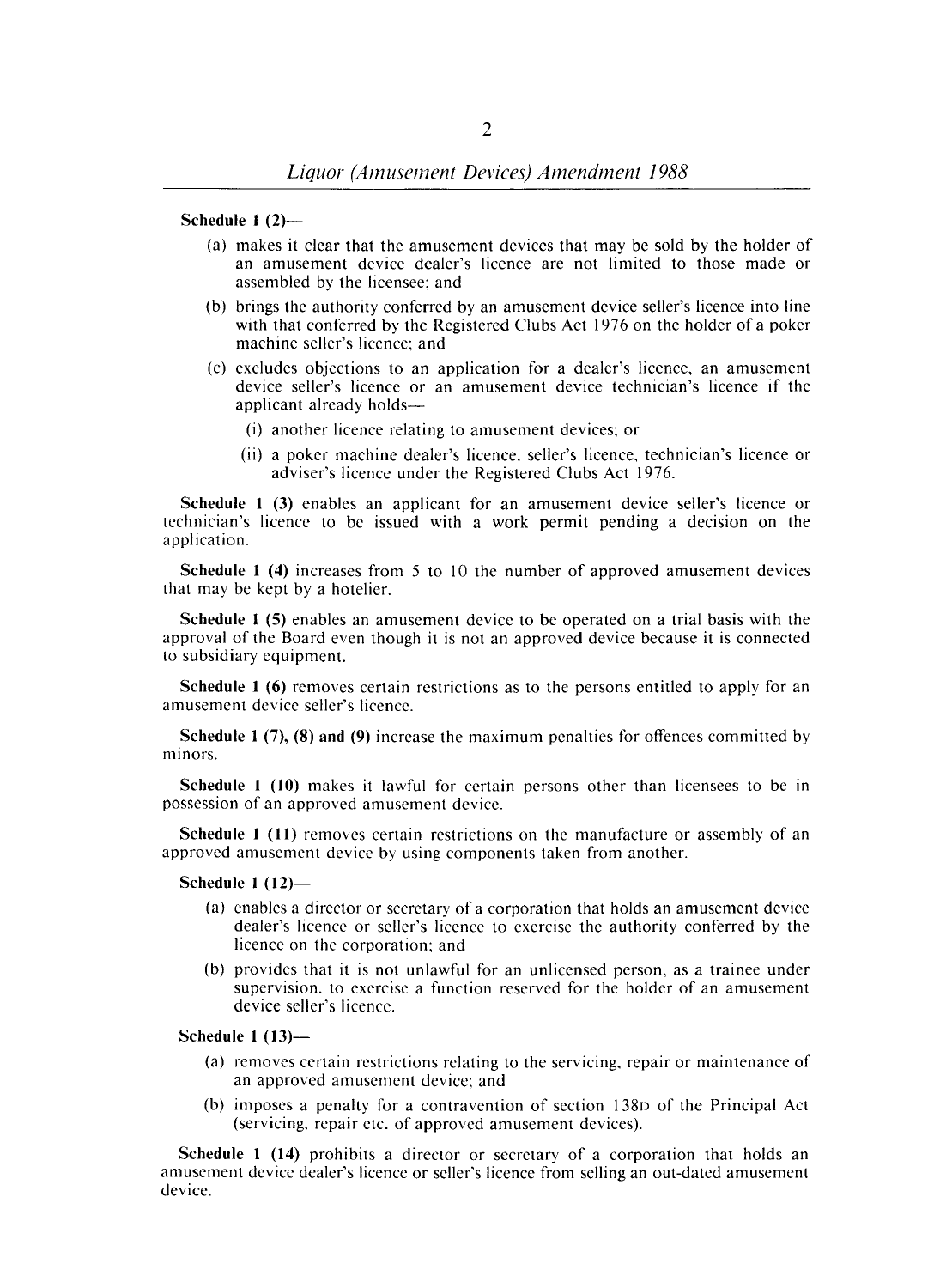#### Schedule 1 (2)-

- (a) makes it clear that the amusement devices that may be sold by the holder of an amusement device dealer's licence are not limited to those made or assembled by the licensee; and
- (b) brings the authority conferred by an amusement device seller's licence into line with that conferred by the Registered Clubs Act 1976 on the holder of a poker machine seller's licence; and
- (c) excludes objections to an application for a dealer's licence, an amusement device seller's licence or an amusement device technician's licence if the applicant already holds-
	- (i) another licence relating to amusement devices; or
	- (ii) a poker machine dealer's licence, seller's licence, technician's licence or adviser's licence under the Registered Clubs Act 1976.

Schedule 1 (3) enables an applicant for an amusement device seller's licence or technician's licence to be issued with a work permit pending a decision on the application.

Schedule 1 (4) increases from 5 to 10 the number of approved amusement devices that may be kept by a hotelier.

Schedule I (5) enables an amusement device to be operated on a trial basis with the approval of the Board even though it is not an approved device because it is connected to subsidiary equipment.

Schedule 1 (6) removes certain restrictions as to the persons entitled to apply for an amusement device seller's licence.

Schedule 1 (7), (8) and (9) increase the maximum penalties for offences committed by minors.

Schedule 1 (10) makes it lawful for certain persons other than licensees to be in possession of an approved amusement device.

Schedule 1 (11) removes certain restrictions on the manufacture or assembly of an approved amusement device by using components taken from another.

#### Schedule  $1(12)$ —

- (a) enables a director or secretary of a corporation that holds an amusement device dealer's licence or seller's licence to exercise the authority conferred by the licence on the corporation; and
- (b) provides that it is not unlawful for an unlicensed person, as a trainee under supervision. to exercise a function reserved for the holder of an amusement device seller's licence.

### Schedule 1 (13)-

- (a) removes certain restrictions relating to the servicing, repair or maintenance of an approved amusement device: and
- (b) imposes a penalty for a contravention of section 138D of the Principal Act (servicing. repair etc. of approved amusement devices).

Schedule 1 (14) prohibits a director or secretary of a corporation that holds an amusement device dealer's licence or seller's licence from selling an out-dated amusement device.